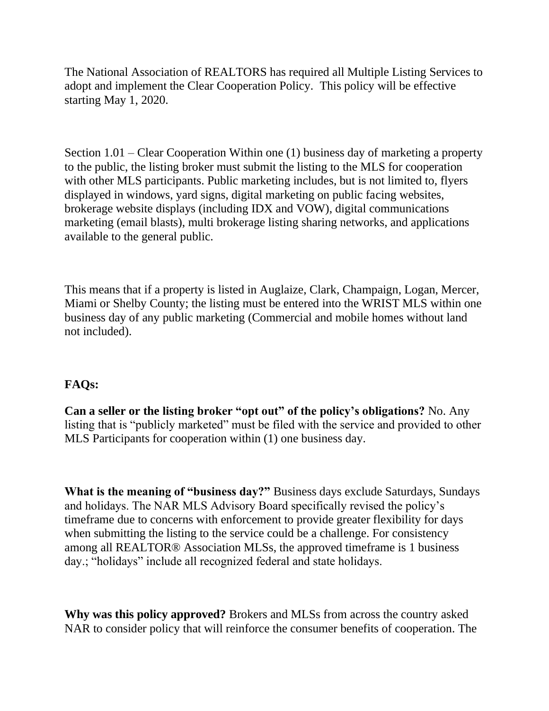The National Association of REALTORS has required all Multiple Listing Services to adopt and implement the Clear Cooperation Policy. This policy will be effective starting May 1, 2020.

Section 1.01 – Clear Cooperation Within one (1) business day of marketing a property to the public, the listing broker must submit the listing to the MLS for cooperation with other MLS participants. Public marketing includes, but is not limited to, flyers displayed in windows, yard signs, digital marketing on public facing websites, brokerage website displays (including IDX and VOW), digital communications marketing (email blasts), multi brokerage listing sharing networks, and applications available to the general public.

This means that if a property is listed in Auglaize, Clark, Champaign, Logan, Mercer, Miami or Shelby County; the listing must be entered into the WRIST MLS within one business day of any public marketing (Commercial and mobile homes without land not included).

## **FAQs:**

**Can a seller or the listing broker "opt out" of the policy's obligations?** No. Any listing that is "publicly marketed" must be filed with the service and provided to other MLS Participants for cooperation within (1) one business day.

**What is the meaning of "business day?"** Business days exclude Saturdays, Sundays and holidays. The NAR MLS Advisory Board specifically revised the policy's timeframe due to concerns with enforcement to provide greater flexibility for days when submitting the listing to the service could be a challenge. For consistency among all REALTOR® Association MLSs, the approved timeframe is 1 business day.; "holidays" include all recognized federal and state holidays.

**Why was this policy approved?** Brokers and MLSs from across the country asked NAR to consider policy that will reinforce the consumer benefits of cooperation. The